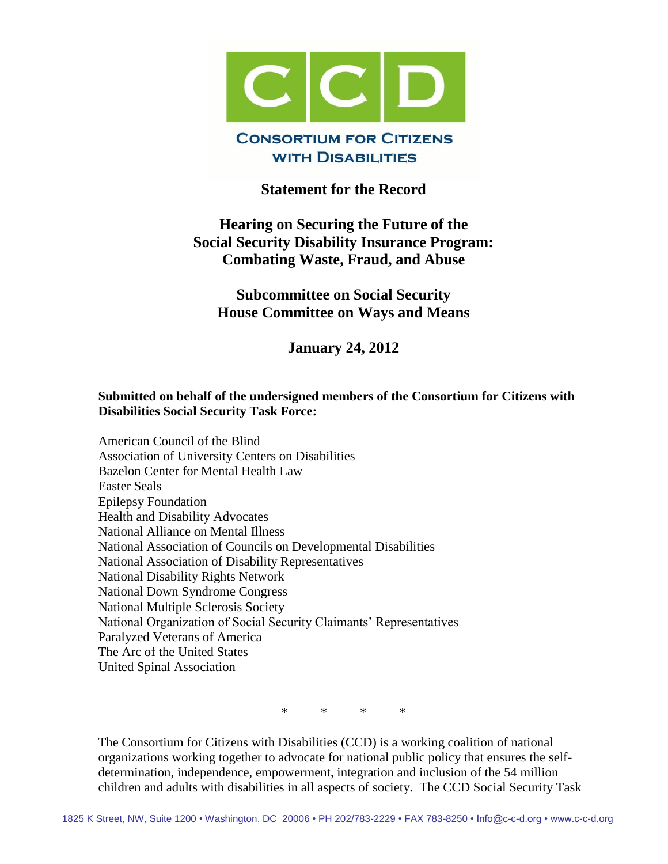

# **Statement for the Record**

# **Hearing on Securing the Future of the Social Security Disability Insurance Program: Combating Waste, Fraud, and Abuse**

**Subcommittee on Social Security House Committee on Ways and Means**

**January 24, 2012**

#### **Submitted on behalf of the undersigned members of the Consortium for Citizens with Disabilities Social Security Task Force:**

American Council of the Blind Association of University Centers on Disabilities Bazelon Center for Mental Health Law Easter Seals Epilepsy Foundation Health and Disability Advocates National Alliance on Mental Illness National Association of Councils on Developmental Disabilities National Association of Disability Representatives National Disability Rights Network National Down Syndrome Congress National Multiple Sclerosis Society National Organization of Social Security Claimants' Representatives Paralyzed Veterans of America The Arc of the United States United Spinal Association

\* \* \* \*

The Consortium for Citizens with Disabilities (CCD) is a working coalition of national organizations working together to advocate for national public policy that ensures the selfdetermination, independence, empowerment, integration and inclusion of the 54 million children and adults with disabilities in all aspects of society. The CCD Social Security Task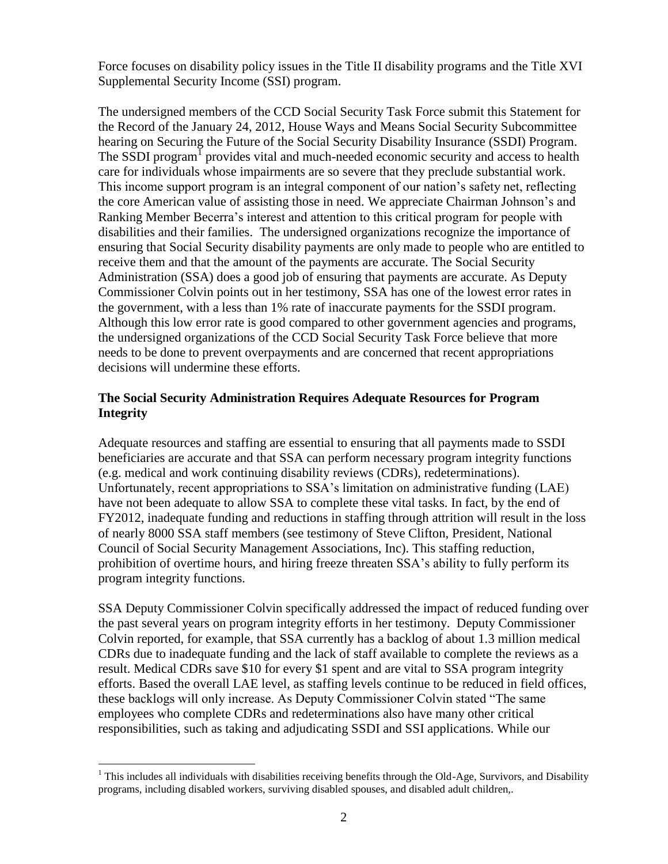Force focuses on disability policy issues in the Title II disability programs and the Title XVI Supplemental Security Income (SSI) program.

The undersigned members of the CCD Social Security Task Force submit this Statement for the Record of the January 24, 2012, House Ways and Means Social Security Subcommittee hearing on Securing the Future of the Social Security Disability Insurance (SSDI) Program. The SSDI program<sup>1</sup> provides vital and much-needed economic security and access to health care for individuals whose impairments are so severe that they preclude substantial work. This income support program is an integral component of our nation's safety net, reflecting the core American value of assisting those in need. We appreciate Chairman Johnson's and Ranking Member Becerra's interest and attention to this critical program for people with disabilities and their families. The undersigned organizations recognize the importance of ensuring that Social Security disability payments are only made to people who are entitled to receive them and that the amount of the payments are accurate. The Social Security Administration (SSA) does a good job of ensuring that payments are accurate. As Deputy Commissioner Colvin points out in her testimony, SSA has one of the lowest error rates in the government, with a less than 1% rate of inaccurate payments for the SSDI program. Although this low error rate is good compared to other government agencies and programs, the undersigned organizations of the CCD Social Security Task Force believe that more needs to be done to prevent overpayments and are concerned that recent appropriations decisions will undermine these efforts.

## **The Social Security Administration Requires Adequate Resources for Program Integrity**

Adequate resources and staffing are essential to ensuring that all payments made to SSDI beneficiaries are accurate and that SSA can perform necessary program integrity functions (e.g. medical and work continuing disability reviews (CDRs), redeterminations). Unfortunately, recent appropriations to SSA's limitation on administrative funding (LAE) have not been adequate to allow SSA to complete these vital tasks. In fact, by the end of FY2012, inadequate funding and reductions in staffing through attrition will result in the loss of nearly 8000 SSA staff members (see testimony of Steve Clifton, President, National Council of Social Security Management Associations, Inc). This staffing reduction, prohibition of overtime hours, and hiring freeze threaten SSA's ability to fully perform its program integrity functions.

SSA Deputy Commissioner Colvin specifically addressed the impact of reduced funding over the past several years on program integrity efforts in her testimony. Deputy Commissioner Colvin reported, for example, that SSA currently has a backlog of about 1.3 million medical CDRs due to inadequate funding and the lack of staff available to complete the reviews as a result. Medical CDRs save \$10 for every \$1 spent and are vital to SSA program integrity efforts. Based the overall LAE level, as staffing levels continue to be reduced in field offices, these backlogs will only increase. As Deputy Commissioner Colvin stated "The same employees who complete CDRs and redeterminations also have many other critical responsibilities, such as taking and adjudicating SSDI and SSI applications. While our

 $\overline{a}$  $1$  This includes all individuals with disabilities receiving benefits through the Old-Age, Survivors, and Disability programs, including disabled workers, surviving disabled spouses, and disabled adult children,.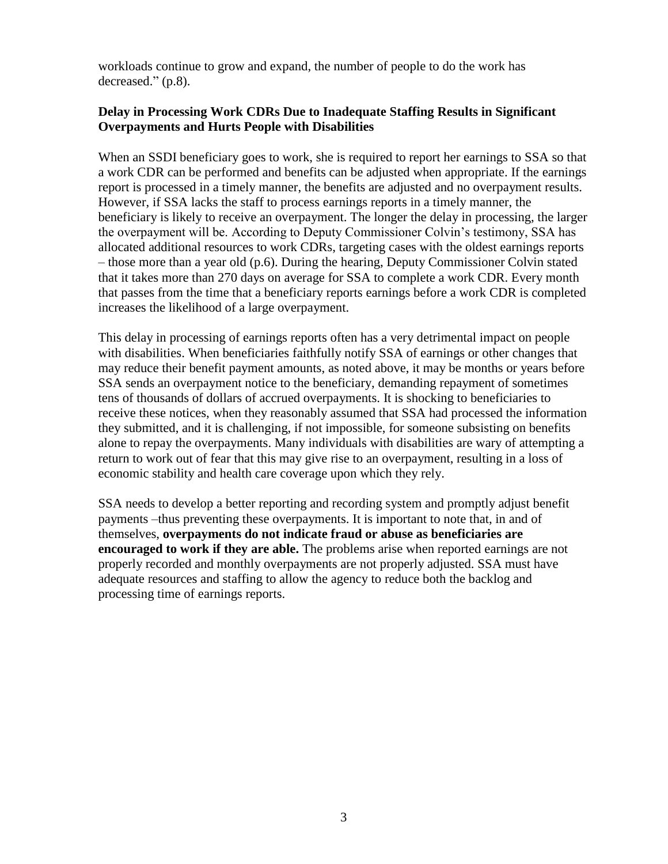workloads continue to grow and expand, the number of people to do the work has decreased." (p.8).

### **Delay in Processing Work CDRs Due to Inadequate Staffing Results in Significant Overpayments and Hurts People with Disabilities**

When an SSDI beneficiary goes to work, she is required to report her earnings to SSA so that a work CDR can be performed and benefits can be adjusted when appropriate. If the earnings report is processed in a timely manner, the benefits are adjusted and no overpayment results. However, if SSA lacks the staff to process earnings reports in a timely manner, the beneficiary is likely to receive an overpayment. The longer the delay in processing, the larger the overpayment will be. According to Deputy Commissioner Colvin's testimony, SSA has allocated additional resources to work CDRs, targeting cases with the oldest earnings reports – those more than a year old (p.6). During the hearing, Deputy Commissioner Colvin stated that it takes more than 270 days on average for SSA to complete a work CDR. Every month that passes from the time that a beneficiary reports earnings before a work CDR is completed increases the likelihood of a large overpayment.

This delay in processing of earnings reports often has a very detrimental impact on people with disabilities. When beneficiaries faithfully notify SSA of earnings or other changes that may reduce their benefit payment amounts, as noted above, it may be months or years before SSA sends an overpayment notice to the beneficiary, demanding repayment of sometimes tens of thousands of dollars of accrued overpayments. It is shocking to beneficiaries to receive these notices, when they reasonably assumed that SSA had processed the information they submitted, and it is challenging, if not impossible, for someone subsisting on benefits alone to repay the overpayments. Many individuals with disabilities are wary of attempting a return to work out of fear that this may give rise to an overpayment, resulting in a loss of economic stability and health care coverage upon which they rely.

SSA needs to develop a better reporting and recording system and promptly adjust benefit payments –thus preventing these overpayments. It is important to note that, in and of themselves, **overpayments do not indicate fraud or abuse as beneficiaries are encouraged to work if they are able.** The problems arise when reported earnings are not properly recorded and monthly overpayments are not properly adjusted. SSA must have adequate resources and staffing to allow the agency to reduce both the backlog and processing time of earnings reports.